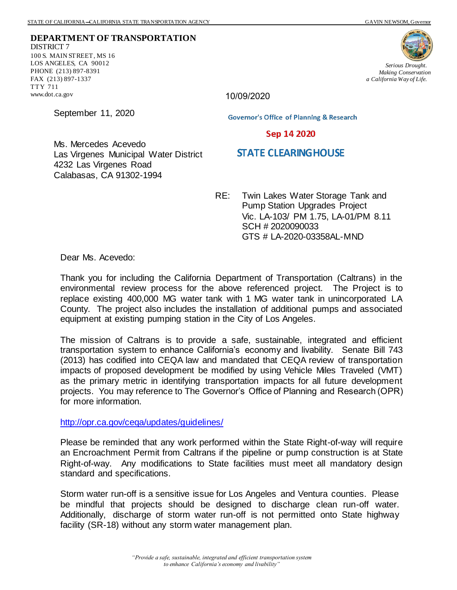**DEPARTMENT OF TRANSPORTATION** DISTRICT 7 100 S. MAIN STREET, MS 16 LOS ANGELES, CA 90012 PHONE (213) 897-8391 FAX (213) 897-1337 TTY 711 www.dot.ca.gov



*Serious Drought. Making Conservation a California Way of Life.*

10/09/2020

September 11, 2020

**Governor's Office of Planning & Research** 

Sep 14 2020

## Ms. Mercedes Acevedo Las Virgenes Municipal Water District 4232 Las Virgenes Road Calabasas, CA 91302-1994

- **STATE CLEARING HOUSE**
- RE: Twin Lakes Water Storage Tank and Pump Station Upgrades Project Vic. LA-103/ PM 1.75, LA-01/PM 8.11 SCH # 2020090033 GTS # LA-2020-03358AL-MND

Dear Ms. Acevedo:

Thank you for including the California Department of Transportation (Caltrans) in the environmental review process for the above referenced project. The Project is to replace existing 400,000 MG water tank with 1 MG water tank in unincorporated LA County. The project also includes the installation of additional pumps and associated equipment at existing pumping station in the City of Los Angeles.

The mission of Caltrans is to provide a safe, sustainable, integrated and efficient transportation system to enhance California's economy and livability. Senate Bill 743 (2013) has codified into CEQA law and mandated that CEQA review of transportation impacts of proposed development be modified by using Vehicle Miles Traveled (VMT) as the primary metric in identifying transportation impacts for all future development projects. You may reference to The Governor's Office of Planning and Research (OPR) for more information.

<http://opr.ca.gov/ceqa/updates/guidelines/>

Please be reminded that any work performed within the State Right-of-way will require an Encroachment Permit from Caltrans if the pipeline or pump construction is at State Right-of-way. Any modifications to State facilities must meet all mandatory design standard and specifications.

Storm water run-off is a sensitive issue for Los Angeles and Ventura counties. Please be mindful that projects should be designed to discharge clean run-off water. Additionally, discharge of storm water run-off is not permitted onto State highway facility (SR-18) without any storm water management plan.